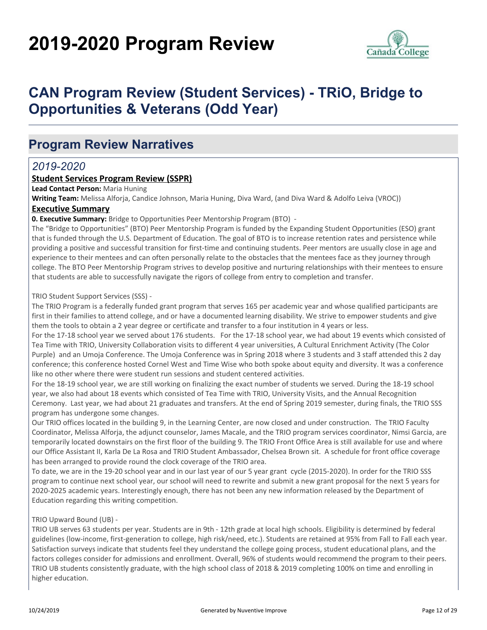# **2019-2020 Program Review**



## **CAN Program Review (Student Services) - TRiO, Bridge to Opportunities & Veterans (Odd Year)**

## **Program Review Narratives**

### *2019-2020*

#### **Student Services Program Review (SSPR)**

**Lead Contact Person:** Maria Huning

**Writing Team:** Melissa Alforja, Candice Johnson, Maria Huning, Diva Ward, (and Diva Ward & Adolfo Leiva (VROC))

#### **Executive Summary**

**0. Executive Summary:** Bridge to Opportunities Peer Mentorship Program (BTO) -

The "Bridge to Opportunities" (BTO) Peer Mentorship Program is funded by the Expanding Student Opportunities (ESO) grant that is funded through the U.S. Department of Education. The goal of BTO is to increase retention rates and persistence while providing a positive and successful transition for first-time and continuing students. Peer mentors are usually close in age and experience to their mentees and can often personally relate to the obstacles that the mentees face as they journey through college. The BTO Peer Mentorship Program strives to develop positive and nurturing relationships with their mentees to ensure that students are able to successfully navigate the rigors of college from entry to completion and transfer.

#### TRIO Student Support Services (SSS) -

The TRIO Program is a federally funded grant program that serves 165 per academic year and whose qualified participants are first in their families to attend college, and or have a documented learning disability. We strive to empower students and give them the tools to obtain a 2 year degree or certificate and transfer to a four institution in 4 years or less.

For the 17-18 school year we served about 176 students. For the 17-18 school year, we had about 19 events which consisted of Tea Time with TRIO, University Collaboration visits to different 4 year universities, A Cultural Enrichment Activity (The Color Purple) and an Umoja Conference. The Umoja Conference was in Spring 2018 where 3 students and 3 staff attended this 2 day conference; this conference hosted Cornel West and Time Wise who both spoke about equity and diversity. It was a conference like no other where there were student run sessions and student centered activities.

For the 18-19 school year, we are still working on finalizing the exact number of students we served. During the 18-19 school year, we also had about 18 events which consisted of Tea Time with TRIO, University Visits, and the Annual Recognition Ceremony. Last year, we had about 21 graduates and transfers. At the end of Spring 2019 semester, during finals, the TRIO SSS program has undergone some changes.

Our TRIO offices located in the building 9, in the Learning Center, are now closed and under construction. The TRIO Faculty Coordinator, Melissa Alforja, the adjunct counselor, James Macale, and the TRIO program services coordinator, Nimsi Garcia, are temporarily located downstairs on the first floor of the building 9. The TRIO Front Office Area is still available for use and where our Office Assistant II, Karla De La Rosa and TRIO Student Ambassador, Chelsea Brown sit. A schedule for front office coverage has been arranged to provide round the clock coverage of the TRIO area.

To date, we are in the 19-20 school year and in our last year of our 5 year grant cycle (2015-2020). In order for the TRIO SSS program to continue next school year, our school will need to rewrite and submit a new grant proposal for the next 5 years for 2020-2025 academic years. Interestingly enough, there has not been any new information released by the Department of Education regarding this writing competition.

#### TRIO Upward Bound (UB) -

TRIO UB serves 63 students per year. Students are in 9th - 12th grade at local high schools. Eligibility is determined by federal guidelines (low-income, first-generation to college, high risk/need, etc.). Students are retained at 95% from Fall to Fall each year. Satisfaction surveys indicate that students feel they understand the college going process, student educational plans, and the factors colleges consider for admissions and enrollment. Overall, 96% of students would recommend the program to their peers. TRIO UB students consistently graduate, with the high school class of 2018 & 2019 completing 100% on time and enrolling in higher education.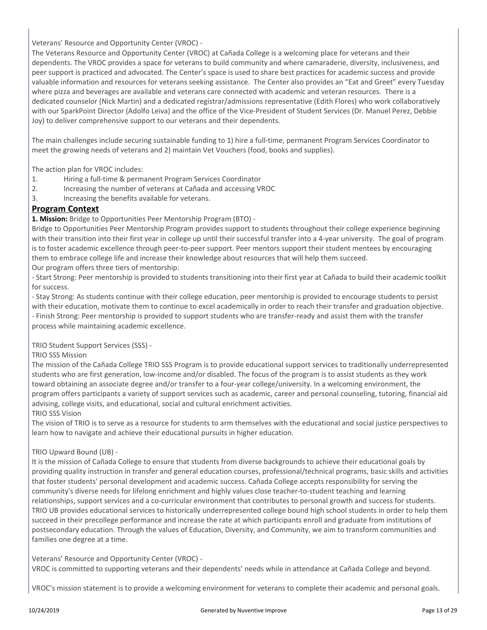#### Veterans' Resource and Opportunity Center (VROC) -

The Veterans Resource and Opportunity Center (VROC) at Cañada College is a welcoming place for veterans and their dependents. The VROC provides a space for veterans to build community and where camaraderie, diversity, inclusiveness, and peer support is practiced and advocated. The Center's space is used to share best practices for academic success and provide valuable information and resources for veterans seeking assistance. The Center also provides an "Eat and Greet" every Tuesday where pizza and beverages are available and veterans care connected with academic and veteran resources. There is a dedicated counselor (Nick Martin) and a dedicated registrar/admissions representative (Edith Flores) who work collaboratively with our SparkPoint Director (Adolfo Leiva) and the office of the Vice-President of Student Services (Dr. Manuel Perez, Debbie Joy) to deliver comprehensive support to our veterans and their dependents.

The main challenges include securing sustainable funding to 1) hire a full-time, permanent Program Services Coordinator to meet the growing needs of veterans and 2) maintain Vet Vouchers (food, books and supplies).

The action plan for VROC includes:

- 1. Hiring a full-time & permanent Program Services Coordinator
- 2. Increasing the number of veterans at Cañada and accessing VROC
- 3. Increasing the benefits available for veterans.

#### **Program Context**

**1. Mission:** Bridge to Opportunities Peer Mentorship Program (BTO) -

Bridge to Opportunities Peer Mentorship Program provides support to students throughout their college experience beginning with their transition into their first year in college up until their successful transfer into a 4-year university. The goal of program is to foster academic excellence through peer-to-peer support. Peer mentors support their student mentees by encouraging them to embrace college life and increase their knowledge about resources that will help them succeed. Our program offers three tiers of mentorship:

- Start Strong: Peer mentorship is provided to students transitioning into their first year at Cañada to build their academic toolkit for success.

- Stay Strong: As students continue with their college education, peer mentorship is provided to encourage students to persist with their education, motivate them to continue to excel academically in order to reach their transfer and graduation objective. - Finish Strong: Peer mentorship is provided to support students who are transfer-ready and assist them with the transfer process while maintaining academic excellence.

TRIO Student Support Services (SSS) -

#### TRIO SSS Mission

The mission of the Cañada College TRIO SSS Program is to provide educational support services to traditionally underrepresented students who are first generation, low-income and/or disabled. The focus of the program is to assist students as they work toward obtaining an associate degree and/or transfer to a four-year college/university. In a welcoming environment, the program offers participants a variety of support services such as academic, career and personal counseling, tutoring, financial aid advising, college visits, and educational, social and cultural enrichment activities. TRIO SSS Vision

The vision of TRIO is to serve as a resource for students to arm themselves with the educational and social justice perspectives to learn how to navigate and achieve their educational pursuits in higher education.

#### TRIO Upward Bound (UB) -

It is the mission of Cañada College to ensure that students from diverse backgrounds to achieve their educational goals by providing quality instruction in transfer and general education courses, professional/technical programs, basic skills and activities that foster students' personal development and academic success. Cañada College accepts responsibility for serving the community's diverse needs for lifelong enrichment and highly values close teacher-to-student teaching and learning relationships, support services and a co-curricular environment that contributes to personal growth and success for students. TRIO UB provides educational services to historically underrepresented college bound high school students in order to help them succeed in their precollege performance and increase the rate at which participants enroll and graduate from institutions of postsecondary education. Through the values of Education, Diversity, and Community, we aim to transform communities and families one degree at a time.

Veterans' Resource and Opportunity Center (VROC) - VROC is committed to supporting veterans and their dependents' needs while in attendance at Cañada College and beyond.

VROC's mission statement is to provide a welcoming environment for veterans to complete their academic and personal goals.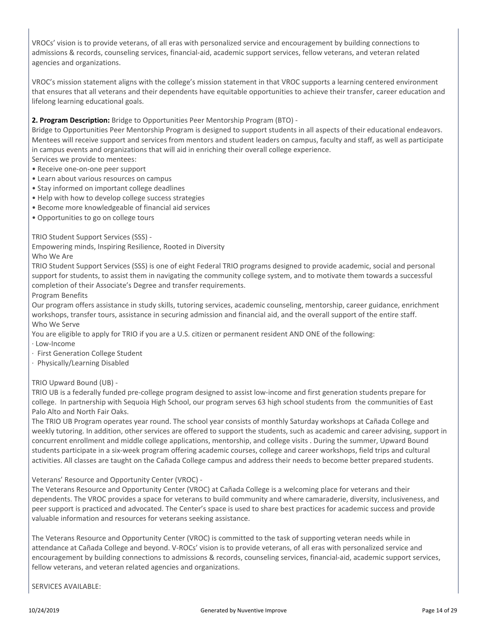VROCs' vision is to provide veterans, of all eras with personalized service and encouragement by building connections to admissions & records, counseling services, financial-aid, academic support services, fellow veterans, and veteran related agencies and organizations.

VROC's mission statement aligns with the college's mission statement in that VROC supports a learning centered environment that ensures that all veterans and their dependents have equitable opportunities to achieve their transfer, career education and lifelong learning educational goals.

#### **2. Program Description:** Bridge to Opportunities Peer Mentorship Program (BTO) -

Bridge to Opportunities Peer Mentorship Program is designed to support students in all aspects of their educational endeavors. Mentees will receive support and services from mentors and student leaders on campus, faculty and staff, as well as participate in campus events and organizations that will aid in enriching their overall college experience. Services we provide to mentees:

- Receive one-on-one peer support
- Learn about various resources on campus
- Stay informed on important college deadlines
- Help with how to develop college success strategies
- Become more knowledgeable of financial aid services
- Opportunities to go on college tours

#### TRIO Student Support Services (SSS) -

Empowering minds, Inspiring Resilience, Rooted in Diversity Who We Are

TRIO Student Support Services (SSS) is one of eight Federal TRIO programs designed to provide academic, social and personal support for students, to assist them in navigating the community college system, and to motivate them towards a successful completion of their Associate's Degree and transfer requirements.

Program Benefits

Our program offers assistance in study skills, tutoring services, academic counseling, mentorship, career guidance, enrichment workshops, transfer tours, assistance in securing admission and financial aid, and the overall support of the entire staff. Who We Serve

You are eligible to apply for TRIO if you are a U.S. citizen or permanent resident AND ONE of the following:

- · Low-Income
- · First Generation College Student
- · Physically/Learning Disabled

#### TRIO Upward Bound (UB) -

TRIO UB is a federally funded pre-college program designed to assist low-income and first generation students prepare for college. In partnership with Sequoia High School, our program serves 63 high school students from the communities of East Palo Alto and North Fair Oaks.

The TRIO UB Program operates year round. The school year consists of monthly Saturday workshops at Cañada College and weekly tutoring. In addition, other services are offered to support the students, such as academic and career advising, support in concurrent enrollment and middle college applications, mentorship, and college visits . During the summer, Upward Bound students participate in a six-week program offering academic courses, college and career workshops, field trips and cultural activities. All classes are taught on the Cañada College campus and address their needs to become better prepared students.

Veterans' Resource and Opportunity Center (VROC) -

The Veterans Resource and Opportunity Center (VROC) at Cañada College is a welcoming place for veterans and their dependents. The VROC provides a space for veterans to build community and where camaraderie, diversity, inclusiveness, and peer support is practiced and advocated. The Center's space is used to share best practices for academic success and provide valuable information and resources for veterans seeking assistance.

The Veterans Resource and Opportunity Center (VROC) is committed to the task of supporting veteran needs while in attendance at Cañada College and beyond. V-ROCs' vision is to provide veterans, of all eras with personalized service and encouragement by building connections to admissions & records, counseling services, financial-aid, academic support services, fellow veterans, and veteran related agencies and organizations.

SERVICES AVAILABLE: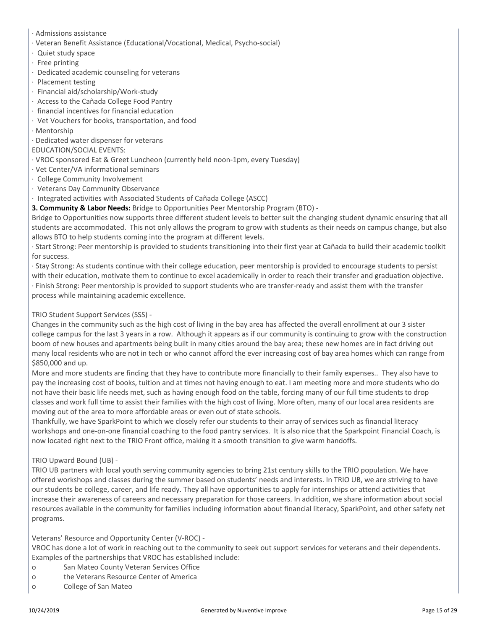- · Admissions assistance
- · Veteran Benefit Assistance (Educational/Vocational, Medical, Psycho-social)
- · Quiet study space
- · Free printing
- · Dedicated academic counseling for veterans
- · Placement testing
- · Financial aid/scholarship/Work-study
- · Access to the Cañada College Food Pantry
- · financial incentives for financial education
- · Vet Vouchers for books, transportation, and food
- · Mentorship
- · Dedicated water dispenser for veterans

#### EDUCATION/SOCIAL EVENTS:

- · VROC sponsored Eat & Greet Luncheon (currently held noon-1pm, every Tuesday)
- · Vet Center/VA informational seminars
- · College Community Involvement
- · Veterans Day Community Observance
- · Integrated activities with Associated Students of Cañada College (ASCC)
- **3. Community & Labor Needs:** Bridge to Opportunities Peer Mentorship Program (BTO) -

Bridge to Opportunities now supports three different student levels to better suit the changing student dynamic ensuring that all students are accommodated. This not only allows the program to grow with students as their needs on campus change, but also allows BTO to help students coming into the program at different levels.

· Start Strong: Peer mentorship is provided to students transitioning into their first year at Cañada to build their academic toolkit for success.

· Stay Strong: As students continue with their college education, peer mentorship is provided to encourage students to persist with their education, motivate them to continue to excel academically in order to reach their transfer and graduation objective. · Finish Strong: Peer mentorship is provided to support students who are transfer-ready and assist them with the transfer process while maintaining academic excellence.

#### TRIO Student Support Services (SSS) -

Changes in the community such as the high cost of living in the bay area has affected the overall enrollment at our 3 sister college campus for the last 3 years in a row. Although it appears as if our community is continuing to grow with the construction boom of new houses and apartments being built in many cities around the bay area; these new homes are in fact driving out many local residents who are not in tech or who cannot afford the ever increasing cost of bay area homes which can range from \$850,000 and up.

More and more students are finding that they have to contribute more financially to their family expenses.. They also have to pay the increasing cost of books, tuition and at times not having enough to eat. I am meeting more and more students who do not have their basic life needs met, such as having enough food on the table, forcing many of our full time students to drop classes and work full time to assist their families with the high cost of living. More often, many of our local area residents are moving out of the area to more affordable areas or even out of state schools.

Thankfully, we have SparkPoint to which we closely refer our students to their array of services such as financial literacy workshops and one-on-one financial coaching to the food pantry services. It is also nice that the Sparkpoint Financial Coach, is now located right next to the TRIO Front office, making it a smooth transition to give warm handoffs.

#### TRIO Upward Bound (UB) -

TRIO UB partners with local youth serving community agencies to bring 21st century skills to the TRIO population. We have offered workshops and classes during the summer based on students' needs and interests. In TRIO UB, we are striving to have our students be college, career, and life ready. They all have opportunities to apply for internships or attend activities that increase their awareness of careers and necessary preparation for those careers. In addition, we share information about social resources available in the community for families including information about financial literacy, SparkPoint, and other safety net programs.

Veterans' Resource and Opportunity Center (V-ROC) -

VROC has done a lot of work in reaching out to the community to seek out support services for veterans and their dependents. Examples of the partnerships that VROC has established include:

- o San Mateo County Veteran Services Office
- o the Veterans Resource Center of America
- o College of San Mateo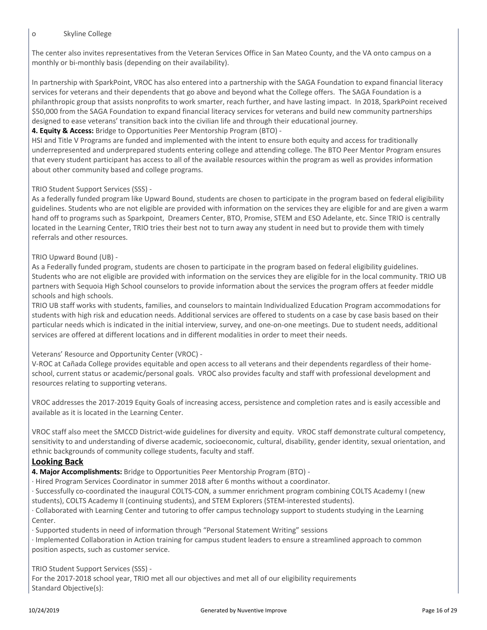#### o Skyline College

The center also invites representatives from the Veteran Services Office in San Mateo County, and the VA onto campus on a monthly or bi-monthly basis (depending on their availability).

In partnership with SparkPoint, VROC has also entered into a partnership with the SAGA Foundation to expand financial literacy services for veterans and their dependents that go above and beyond what the College offers. The SAGA Foundation is a philanthropic group that assists nonprofits to work smarter, reach further, and have lasting impact. In 2018, SparkPoint received \$50,000 from the SAGA Foundation to expand financial literacy services for veterans and build new community partnerships designed to ease veterans' transition back into the civilian life and through their educational journey.

#### **4. Equity & Access:** Bridge to Opportunities Peer Mentorship Program (BTO) -

HSI and Title V Programs are funded and implemented with the intent to ensure both equity and access for traditionally underrepresented and underprepared students entering college and attending college. The BTO Peer Mentor Program ensures that every student participant has access to all of the available resources within the program as well as provides information about other community based and college programs.

#### TRIO Student Support Services (SSS) -

As a federally funded program like Upward Bound, students are chosen to participate in the program based on federal eligibility guidelines. Students who are not eligible are provided with information on the services they are eligible for and are given a warm hand off to programs such as Sparkpoint, Dreamers Center, BTO, Promise, STEM and ESO Adelante, etc. Since TRIO is centrally located in the Learning Center, TRIO tries their best not to turn away any student in need but to provide them with timely referrals and other resources.

#### TRIO Upward Bound (UB) -

As a Federally funded program, students are chosen to participate in the program based on federal eligibility guidelines. Students who are not eligible are provided with information on the services they are eligible for in the local community. TRIO UB partners with Sequoia High School counselors to provide information about the services the program offers at feeder middle schools and high schools.

TRIO UB staff works with students, families, and counselors to maintain Individualized Education Program accommodations for students with high risk and education needs. Additional services are offered to students on a case by case basis based on their particular needs which is indicated in the initial interview, survey, and one-on-one meetings. Due to student needs, additional services are offered at different locations and in different modalities in order to meet their needs.

#### Veterans' Resource and Opportunity Center (VROC) -

V-ROC at Cañada College provides equitable and open access to all veterans and their dependents regardless of their homeschool, current status or academic/personal goals. VROC also provides faculty and staff with professional development and resources relating to supporting veterans.

VROC addresses the 2017-2019 Equity Goals of increasing access, persistence and completion rates and is easily accessible and available as it is located in the Learning Center.

VROC staff also meet the SMCCD District-wide guidelines for diversity and equity. VROC staff demonstrate cultural competency, sensitivity to and understanding of diverse academic, socioeconomic, cultural, disability, gender identity, sexual orientation, and ethnic backgrounds of community college students, faculty and staff.

#### **Looking Back**

**4. Major Accomplishments:** Bridge to Opportunities Peer Mentorship Program (BTO) -

· Hired Program Services Coordinator in summer 2018 after 6 months without a coordinator.

· Successfully co-coordinated the inaugural COLTS-CON, a summer enrichment program combining COLTS Academy I (new students), COLTS Academy II (continuing students), and STEM Explorers (STEM-interested students).

· Collaborated with Learning Center and tutoring to offer campus technology support to students studying in the Learning Center.

· Supported students in need of information through "Personal Statement Writing" sessions

· Implemented Collaboration in Action training for campus student leaders to ensure a streamlined approach to common position aspects, such as customer service.

TRIO Student Support Services (SSS) -

For the 2017-2018 school year, TRIO met all our objectives and met all of our eligibility requirements Standard Objective(s):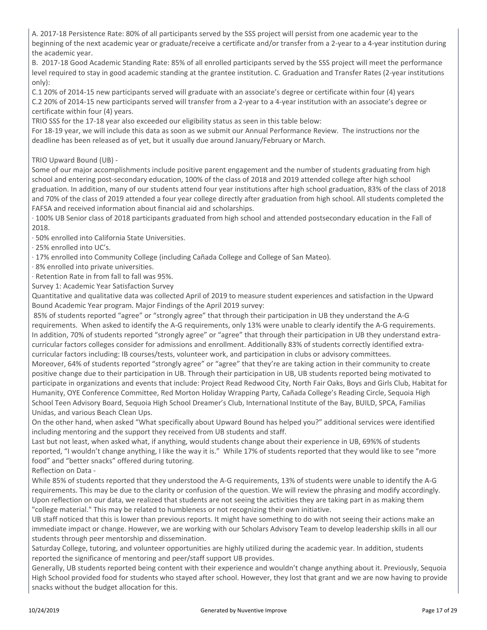A. 2017-18 Persistence Rate: 80% of all participants served by the SSS project will persist from one academic year to the beginning of the next academic year or graduate/receive a certificate and/or transfer from a 2-year to a 4-year institution during the academic year.

B. 2017-18 Good Academic Standing Rate: 85% of all enrolled participants served by the SSS project will meet the performance level required to stay in good academic standing at the grantee institution. C. Graduation and Transfer Rates (2-year institutions only):

C.1 20% of 2014-15 new participants served will graduate with an associate's degree or certificate within four (4) years C.2 20% of 2014-15 new participants served will transfer from a 2-year to a 4-year institution with an associate's degree or certificate within four (4) years.

TRIO SSS for the 17-18 year also exceeded our eligibility status as seen in this table below:

For 18-19 year, we will include this data as soon as we submit our Annual Performance Review. The instructions nor the deadline has been released as of yet, but it usually due around January/February or March.

TRIO Upward Bound (UB) -

Some of our major accomplishments include positive parent engagement and the number of students graduating from high school and entering post-secondary education, 100% of the class of 2018 and 2019 attended college after high school graduation. In addition, many of our students attend four year institutions after high school graduation, 83% of the class of 2018 and 70% of the class of 2019 attended a four year college directly after graduation from high school. All students completed the FAFSA and received information about financial aid and scholarships.

· 100% UB Senior class of 2018 participants graduated from high school and attended postsecondary education in the Fall of 2018.

· 50% enrolled into California State Universities.

· 25% enrolled into UC's.

· 17% enrolled into Community College (including Cañada College and College of San Mateo).

· 8% enrolled into private universities.

· Retention Rate in from fall to fall was 95%.

Survey 1: Academic Year Satisfaction Survey

Quantitative and qualitative data was collected April of 2019 to measure student experiences and satisfaction in the Upward Bound Academic Year program. Major Findings of the April 2019 survey:

 85% of students reported "agree" or "strongly agree" that through their participation in UB they understand the A-G requirements. When asked to identify the A-G requirements, only 13% were unable to clearly identify the A-G requirements. In addition, 70% of students reported "strongly agree" or "agree" that through their participation in UB they understand extracurricular factors colleges consider for admissions and enrollment. Additionally 83% of students correctly identified extracurricular factors including: IB courses/tests, volunteer work, and participation in clubs or advisory committees.

Moreover, 64% of students reported "strongly agree" or "agree" that they're are taking action in their community to create positive change due to their participation in UB. Through their participation in UB, UB students reported being motivated to participate in organizations and events that include: Project Read Redwood City, North Fair Oaks, Boys and Girls Club, Habitat for Humanity, OYE Conference Committee, Red Morton Holiday Wrapping Party, Cañada College's Reading Circle, Sequoia High School Teen Advisory Board, Sequoia High School Dreamer's Club, International Institute of the Bay, BUILD, SPCA, Familias Unidas, and various Beach Clean Ups.

On the other hand, when asked "What specifically about Upward Bound has helped you?" additional services were identified including mentoring and the support they received from UB students and staff.

Last but not least, when asked what, if anything, would students change about their experience in UB, 69%% of students reported, "I wouldn't change anything, I like the way it is." While 17% of students reported that they would like to see "more food" and "better snacks" offered during tutoring.

Reflection on Data -

While 85% of students reported that they understood the A-G requirements, 13% of students were unable to identify the A-G requirements. This may be due to the clarity or confusion of the question. We will review the phrasing and modify accordingly. Upon reflection on our data, we realized that students are not seeing the activities they are taking part in as making them "college material." This may be related to humbleness or not recognizing their own initiative.

UB staff noticed that this is lower than previous reports. It might have something to do with not seeing their actions make an immediate impact or change. However, we are working with our Scholars Advisory Team to develop leadership skills in all our students through peer mentorship and dissemination.

Saturday College, tutoring, and volunteer opportunities are highly utilized during the academic year. In addition, students reported the significance of mentoring and peer/staff support UB provides.

Generally, UB students reported being content with their experience and wouldn't change anything about it. Previously, Sequoia High School provided food for students who stayed after school. However, they lost that grant and we are now having to provide snacks without the budget allocation for this.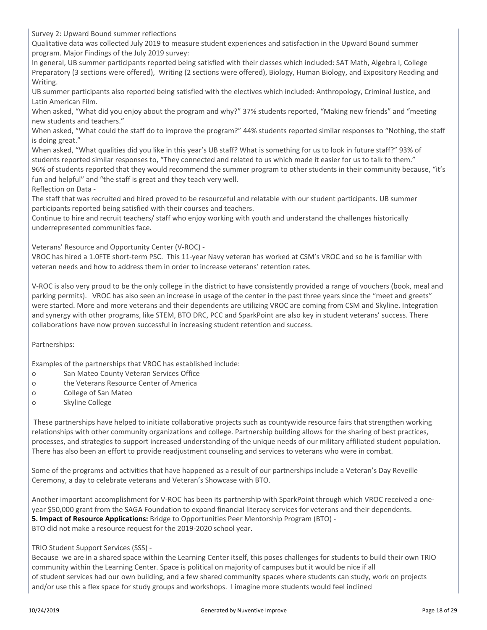Survey 2: Upward Bound summer reflections

Qualitative data was collected July 2019 to measure student experiences and satisfaction in the Upward Bound summer program. Major Findings of the July 2019 survey:

In general, UB summer participants reported being satisfied with their classes which included: SAT Math, Algebra I, College Preparatory (3 sections were offered), Writing (2 sections were offered), Biology, Human Biology, and Expository Reading and Writing.

UB summer participants also reported being satisfied with the electives which included: Anthropology, Criminal Justice, and Latin American Film.

When asked, "What did you enjoy about the program and why?" 37% students reported, "Making new friends" and "meeting new students and teachers."

When asked, "What could the staff do to improve the program?" 44% students reported similar responses to "Nothing, the staff is doing great."

When asked, "What qualities did you like in this year's UB staff? What is something for us to look in future staff?" 93% of students reported similar responses to, "They connected and related to us which made it easier for us to talk to them." 96% of students reported that they would recommend the summer program to other students in their community because, "it's fun and helpful" and "the staff is great and they teach very well.

Reflection on Data -

The staff that was recruited and hired proved to be resourceful and relatable with our student participants. UB summer participants reported being satisfied with their courses and teachers.

Continue to hire and recruit teachers/ staff who enjoy working with youth and understand the challenges historically underrepresented communities face.

Veterans' Resource and Opportunity Center (V-ROC) -

VROC has hired a 1.0FTE short-term PSC. This 11-year Navy veteran has worked at CSM's VROC and so he is familiar with veteran needs and how to address them in order to increase veterans' retention rates.

V-ROC is also very proud to be the only college in the district to have consistently provided a range of vouchers (book, meal and parking permits). VROC has also seen an increase in usage of the center in the past three years since the "meet and greets" were started. More and more veterans and their dependents are utilizing VROC are coming from CSM and Skyline. Integration and synergy with other programs, like STEM, BTO DRC, PCC and SparkPoint are also key in student veterans' success. There collaborations have now proven successful in increasing student retention and success.

Partnerships:

Examples of the partnerships that VROC has established include:

- o San Mateo County Veteran Services Office
- o the Veterans Resource Center of America
- o College of San Mateo
- o Skyline College

 These partnerships have helped to initiate collaborative projects such as countywide resource fairs that strengthen working relationships with other community organizations and college. Partnership building allows for the sharing of best practices, processes, and strategies to support increased understanding of the unique needs of our military affiliated student population. There has also been an effort to provide readjustment counseling and services to veterans who were in combat.

Some of the programs and activities that have happened as a result of our partnerships include a Veteran's Day Reveille Ceremony, a day to celebrate veterans and Veteran's Showcase with BTO.

Another important accomplishment for V-ROC has been its partnership with SparkPoint through which VROC received a oneyear \$50,000 grant from the SAGA Foundation to expand financial literacy services for veterans and their dependents. **5. Impact of Resource Applications:** Bridge to Opportunities Peer Mentorship Program (BTO) - BTO did not make a resource request for the 2019-2020 school year.

TRIO Student Support Services (SSS) -

Because we are in a shared space within the Learning Center itself, this poses challenges for students to build their own TRIO community within the Learning Center. Space is political on majority of campuses but it would be nice if all of student services had our own building, and a few shared community spaces where students can study, work on projects and/or use this a flex space for study groups and workshops. I imagine more students would feel inclined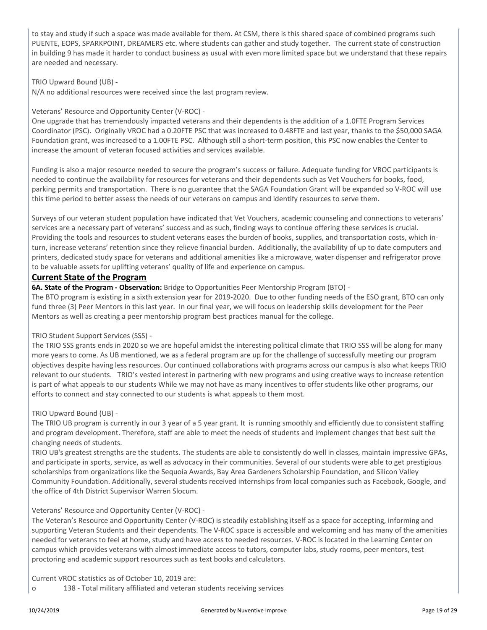to stay and study if such a space was made available for them. At CSM, there is this shared space of combined programs such PUENTE, EOPS, SPARKPOINT, DREAMERS etc. where students can gather and study together. The current state of construction in building 9 has made it harder to conduct business as usual with even more limited space but we understand that these repairs are needed and necessary.

TRIO Upward Bound (UB) -

N/A no additional resources were received since the last program review.

#### Veterans' Resource and Opportunity Center (V-ROC) -

One upgrade that has tremendously impacted veterans and their dependents is the addition of a 1.0FTE Program Services Coordinator (PSC). Originally VROC had a 0.20FTE PSC that was increased to 0.48FTE and last year, thanks to the \$50,000 SAGA Foundation grant, was increased to a 1.00FTE PSC. Although still a short-term position, this PSC now enables the Center to increase the amount of veteran focused activities and services available.

Funding is also a major resource needed to secure the program's success or failure. Adequate funding for VROC participants is needed to continue the availability for resources for veterans and their dependents such as Vet Vouchers for books, food, parking permits and transportation. There is no guarantee that the SAGA Foundation Grant will be expanded so V-ROC will use this time period to better assess the needs of our veterans on campus and identify resources to serve them.

Surveys of our veteran student population have indicated that Vet Vouchers, academic counseling and connections to veterans' services are a necessary part of veterans' success and as such, finding ways to continue offering these services is crucial. Providing the tools and resources to student veterans eases the burden of books, supplies, and transportation costs, which inturn, increase veterans' retention since they relieve financial burden. Additionally, the availability of up to date computers and printers, dedicated study space for veterans and additional amenities like a microwave, water dispenser and refrigerator prove to be valuable assets for uplifting veterans' quality of life and experience on campus.

#### **Current State of the Program**

**6A. State of the Program - Observation:** Bridge to Opportunities Peer Mentorship Program (BTO) -

The BTO program is existing in a sixth extension year for 2019-2020. Due to other funding needs of the ESO grant, BTO can only fund three (3) Peer Mentors in this last year. In our final year, we will focus on leadership skills development for the Peer Mentors as well as creating a peer mentorship program best practices manual for the college.

#### TRIO Student Support Services (SSS) -

The TRIO SSS grants ends in 2020 so we are hopeful amidst the interesting political climate that TRIO SSS will be along for many more years to come. As UB mentioned, we as a federal program are up for the challenge of successfully meeting our program objectives despite having less resources. Our continued collaborations with programs across our campus is also what keeps TRIO relevant to our students. TRIO's vested interest in partnering with new programs and using creative ways to increase retention is part of what appeals to our students While we may not have as many incentives to offer students like other programs, our efforts to connect and stay connected to our students is what appeals to them most.

#### TRIO Upward Bound (UB) -

The TRIO UB program is currently in our 3 year of a 5 year grant. It is running smoothly and efficiently due to consistent staffing and program development. Therefore, staff are able to meet the needs of students and implement changes that best suit the changing needs of students.

TRIO UB's greatest strengths are the students. The students are able to consistently do well in classes, maintain impressive GPAs, and participate in sports, service, as well as advocacy in their communities. Several of our students were able to get prestigious scholarships from organizations like the Sequoia Awards, Bay Area Gardeners Scholarship Foundation, and Silicon Valley Community Foundation. Additionally, several students received internships from local companies such as Facebook, Google, and the office of 4th District Supervisor Warren Slocum.

#### Veterans' Resource and Opportunity Center (V-ROC) -

The Veteran's Resource and Opportunity Center (V-ROC) is steadily establishing itself as a space for accepting, informing and supporting Veteran Students and their dependents. The V-ROC space is accessible and welcoming and has many of the amenities needed for veterans to feel at home, study and have access to needed resources. V-ROC is located in the Learning Center on campus which provides veterans with almost immediate access to tutors, computer labs, study rooms, peer mentors, test proctoring and academic support resources such as text books and calculators.

Current VROC statistics as of October 10, 2019 are:

o 138 - Total military affiliated and veteran students receiving services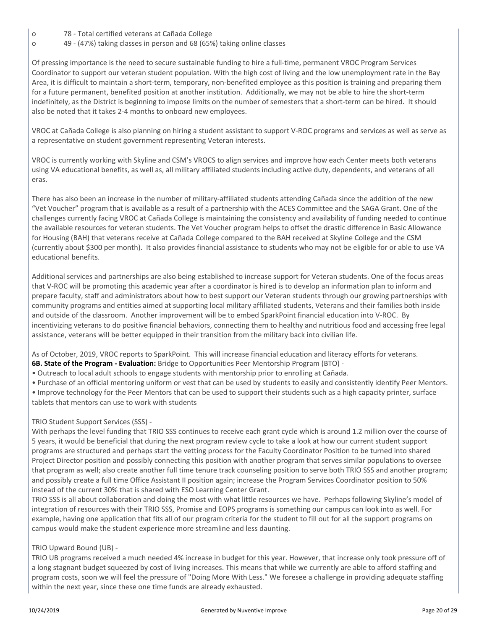- o 78 Total certified veterans at Cañada College
- o 49 (47%) taking classes in person and 68 (65%) taking online classes

Of pressing importance is the need to secure sustainable funding to hire a full-time, permanent VROC Program Services Coordinator to support our veteran student population. With the high cost of living and the low unemployment rate in the Bay Area, it is difficult to maintain a short-term, temporary, non-benefited employee as this position is training and preparing them for a future permanent, benefited position at another institution. Additionally, we may not be able to hire the short-term indefinitely, as the District is beginning to impose limits on the number of semesters that a short-term can be hired. It should also be noted that it takes 2-4 months to onboard new employees.

VROC at Cañada College is also planning on hiring a student assistant to support V-ROC programs and services as well as serve as a representative on student government representing Veteran interests.

VROC is currently working with Skyline and CSM's VROCS to align services and improve how each Center meets both veterans using VA educational benefits, as well as, all military affiliated students including active duty, dependents, and veterans of all eras.

There has also been an increase in the number of military-affiliated students attending Cañada since the addition of the new "Vet Voucher" program that is available as a result of a partnership with the ACES Committee and the SAGA Grant. One of the challenges currently facing VROC at Cañada College is maintaining the consistency and availability of funding needed to continue the available resources for veteran students. The Vet Voucher program helps to offset the drastic difference in Basic Allowance for Housing (BAH) that veterans receive at Cañada College compared to the BAH received at Skyline College and the CSM (currently about \$300 per month). It also provides financial assistance to students who may not be eligible for or able to use VA educational benefits.

Additional services and partnerships are also being established to increase support for Veteran students. One of the focus areas that V-ROC will be promoting this academic year after a coordinator is hired is to develop an information plan to inform and prepare faculty, staff and administrators about how to best support our Veteran students through our growing partnerships with community programs and entities aimed at supporting local military affiliated students, Veterans and their families both inside and outside of the classroom. Another improvement will be to embed SparkPoint financial education into V-ROC. By incentivizing veterans to do positive financial behaviors, connecting them to healthy and nutritious food and accessing free legal assistance, veterans will be better equipped in their transition from the military back into civilian life.

As of October, 2019, VROC reports to SparkPoint. This will increase financial education and literacy efforts for veterans. **6B. State of the Program - Evaluation:** Bridge to Opportunities Peer Mentorship Program (BTO) -

- Outreach to local adult schools to engage students with mentorship prior to enrolling at Cañada.
- Purchase of an official mentoring uniform or vest that can be used by students to easily and consistently identify Peer Mentors.
- Improve technology for the Peer Mentors that can be used to support their students such as a high capacity printer, surface tablets that mentors can use to work with students

#### TRIO Student Support Services (SSS) -

With perhaps the level funding that TRIO SSS continues to receive each grant cycle which is around 1.2 million over the course of 5 years, it would be beneficial that during the next program review cycle to take a look at how our current student support programs are structured and perhaps start the vetting process for the Faculty Coordinator Position to be turned into shared Project Director position and possibly connecting this position with another program that serves similar populations to oversee that program as well; also create another full time tenure track counseling position to serve both TRIO SSS and another program; and possibly create a full time Office Assistant II position again; increase the Program Services Coordinator position to 50% instead of the current 30% that is shared with ESO Learning Center Grant.

TRIO SSS is all about collaboration and doing the most with what little resources we have. Perhaps following Skyline's model of integration of resources with their TRIO SSS, Promise and EOPS programs is something our campus can look into as well. For example, having one application that fits all of our program criteria for the student to fill out for all the support programs on campus would make the student experience more streamline and less daunting.

#### TRIO Upward Bound (UB) -

TRIO UB programs received a much needed 4% increase in budget for this year. However, that increase only took pressure off of a long stagnant budget squeezed by cost of living increases. This means that while we currently are able to afford staffing and program costs, soon we will feel the pressure of "Doing More With Less." We foresee a challenge in providing adequate staffing within the next year, since these one time funds are already exhausted.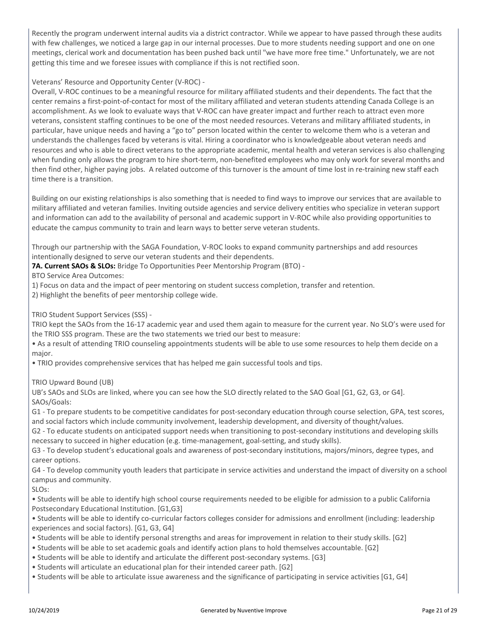Recently the program underwent internal audits via a district contractor. While we appear to have passed through these audits with few challenges, we noticed a large gap in our internal processes. Due to more students needing support and one on one meetings, clerical work and documentation has been pushed back until "we have more free time." Unfortunately, we are not getting this time and we foresee issues with compliance if this is not rectified soon.

#### Veterans' Resource and Opportunity Center (V-ROC) -

Overall, V-ROC continues to be a meaningful resource for military affiliated students and their dependents. The fact that the center remains a first-point-of-contact for most of the military affiliated and veteran students attending Canada College is an accomplishment. As we look to evaluate ways that V-ROC can have greater impact and further reach to attract even more veterans, consistent staffing continues to be one of the most needed resources. Veterans and military affiliated students, in particular, have unique needs and having a "go to" person located within the center to welcome them who is a veteran and understands the challenges faced by veterans is vital. Hiring a coordinator who is knowledgeable about veteran needs and resources and who is able to direct veterans to the appropriate academic, mental health and veteran services is also challenging when funding only allows the program to hire short-term, non-benefited employees who may only work for several months and then find other, higher paying jobs. A related outcome of this turnover is the amount of time lost in re-training new staff each time there is a transition.

Building on our existing relationships is also something that is needed to find ways to improve our services that are available to military affiliated and veteran families. Inviting outside agencies and service delivery entities who specialize in veteran support and information can add to the availability of personal and academic support in V-ROC while also providing opportunities to educate the campus community to train and learn ways to better serve veteran students.

Through our partnership with the SAGA Foundation, V-ROC looks to expand community partnerships and add resources intentionally designed to serve our veteran students and their dependents.

**7A. Current SAOs & SLOs:** Bridge To Opportunities Peer Mentorship Program (BTO) -

BTO Service Area Outcomes:

1) Focus on data and the impact of peer mentoring on student success completion, transfer and retention.

2) Highlight the benefits of peer mentorship college wide.

#### TRIO Student Support Services (SSS) -

TRIO kept the SAOs from the 16-17 academic year and used them again to measure for the current year. No SLO's were used for the TRIO SSS program. These are the two statements we tried our best to measure:

• As a result of attending TRIO counseling appointments students will be able to use some resources to help them decide on a major.

• TRIO provides comprehensive services that has helped me gain successful tools and tips.

#### TRIO Upward Bound (UB)

UB's SAOs and SLOs are linked, where you can see how the SLO directly related to the SAO Goal [G1, G2, G3, or G4]. SAOs/Goals:

G1 - To prepare students to be competitive candidates for post-secondary education through course selection, GPA, test scores, and social factors which include community involvement, leadership development, and diversity of thought/values.

G2 - To educate students on anticipated support needs when transitioning to post-secondary institutions and developing skills necessary to succeed in higher education (e.g. time-management, goal-setting, and study skills).

G3 - To develop student's educational goals and awareness of post-secondary institutions, majors/minors, degree types, and career options.

G4 - To develop community youth leaders that participate in service activities and understand the impact of diversity on a school campus and community.

SLOs:

• Students will be able to identify high school course requirements needed to be eligible for admission to a public California Postsecondary Educational Institution. [G1,G3]

• Students will be able to identify co-curricular factors colleges consider for admissions and enrollment (including: leadership experiences and social factors). [G1, G3, G4]

- Students will be able to identify personal strengths and areas for improvement in relation to their study skills. [G2]
- Students will be able to set academic goals and identify action plans to hold themselves accountable. [G2]
- Students will be able to identify and articulate the different post-secondary systems. [G3]
- Students will articulate an educational plan for their intended career path. [G2]
- Students will be able to articulate issue awareness and the significance of participating in service activities [G1, G4]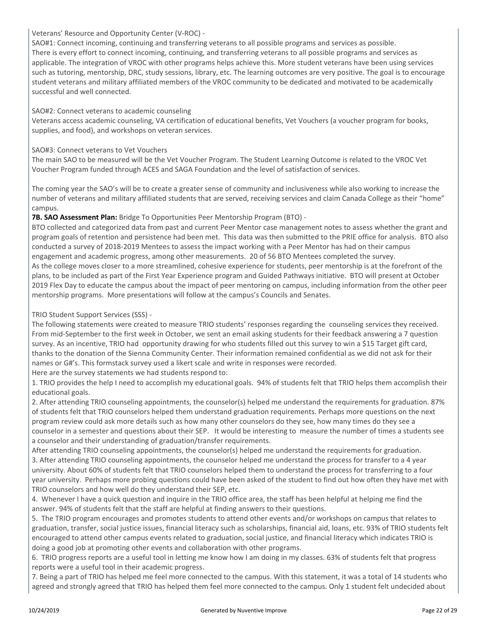#### Veterans' Resource and Opportunity Center (V-ROC) -

SAO#1: Connect incoming, continuing and transferring veterans to all possible programs and services as possible. There is every effort to connect incoming, continuing, and transferring veterans to all possible programs and services as applicable. The integration of VROC with other programs helps achieve this. More student veterans have been using services such as tutoring, mentorship, DRC, study sessions, library, etc. The learning outcomes are very positive. The goal is to encourage student veterans and military affiliated members of the VROC community to be dedicated and motivated to be academically successful and well connected.

#### SAO#2: Connect veterans to academic counseling

Veterans access academic counseling, VA certification of educational benefits, Vet Vouchers (a voucher program for books, supplies, and food), and workshops on veteran services.

#### SAO#3: Connect veterans to Vet Vouchers

The main SAO to be measured will be the Vet Voucher Program. The Student Learning Outcome is related to the VROC Vet Voucher Program funded through ACES and SAGA Foundation and the level of satisfaction of services.

The coming year the SAO's will be to create a greater sense of community and inclusiveness while also working to increase the number of veterans and military affiliated students that are served, receiving services and claim Canada College as their "home" campus.

#### **7B. SAO Assessment Plan:** Bridge To Opportunities Peer Mentorship Program (BTO) -

BTO collected and categorized data from past and current Peer Mentor case management notes to assess whether the grant and program goals of retention and persistence had been met. This data was then submitted to the PRIE office for analysis. BTO also conducted a survey of 2018-2019 Mentees to assess the impact working with a Peer Mentor has had on their campus engagement and academic progress, among other measurements. 20 of 56 BTO Mentees completed the survey. As the college moves closer to a more streamlined, cohesive experience for students, peer mentorship is at the forefront of the plans, to be included as part of the First Year Experience program and Guided Pathways initiative. BTO will present at October 2019 Flex Day to educate the campus about the impact of peer mentoring on campus, including information from the other peer mentorship programs. More presentations will follow at the campus's Councils and Senates.

#### TRIO Student Support Services (SSS) -

The following statements were created to measure TRIO students' responses regarding the counseling services they received. From mid-September to the first week in October, we sent an email asking students for their feedback answering a 7 question survey. As an incentive, TRIO had opportunity drawing for who students filled out this survey to win a \$15 Target gift card, thanks to the donation of the Sienna Community Center. Their information remained confidential as we did not ask for their names or G#'s. This formstack survey used a likert scale and write in responses were recorded.

Here are the survey statements we had students respond to:

1. TRIO provides the help I need to accomplish my educational goals. 94% of students felt that TRIO helps them accomplish their educational goals.

2. After attending TRIO counseling appointments, the counselor(s) helped me understand the requirements for graduation. 87% of students felt that TRIO counselors helped them understand graduation requirements. Perhaps more questions on the next program review could ask more details such as how many other counselors do they see, how many times do they see a counselor in a semester and questions about their SEP. It would be interesting to measure the number of times a students see a counselor and their understanding of graduation/transfer requirements.

After attending TRIO counseling appointments, the counselor(s) helped me understand the requirements for graduation. 3. After attending TRIO counseling appointments, the counselor helped me understand the process for transfer to a 4 year university. About 60% of students felt that TRIO counselors helped them to understand the process for transferring to a four year university. Perhaps more probing questions could have been asked of the student to find out how often they have met with TRIO counselors and how well do they understand their SEP, etc.

4. Whenever I have a quick question and inquire in the TRIO office area, the staff has been helpful at helping me find the answer. 94% of students felt that the staff are helpful at finding answers to their questions.

5. The TRIO program encourages and promotes students to attend other events and/or workshops on campus that relates to graduation, transfer, social justice issues, financial literacy such as scholarships, financial aid, loans, etc. 93% of TRIO students felt encouraged to attend other campus events related to graduation, social justice, and financial literacy which indicates TRIO is doing a good job at promoting other events and collaboration with other programs.

6. TRIO progress reports are a useful tool in letting me know how I am doing in my classes. 63% of students felt that progress reports were a useful tool in their academic progress.

7. Being a part of TRIO has helped me feel more connected to the campus. With this statement, it was a total of 14 students who agreed and strongly agreed that TRIO has helped them feel more connected to the campus. Only 1 student felt undecided about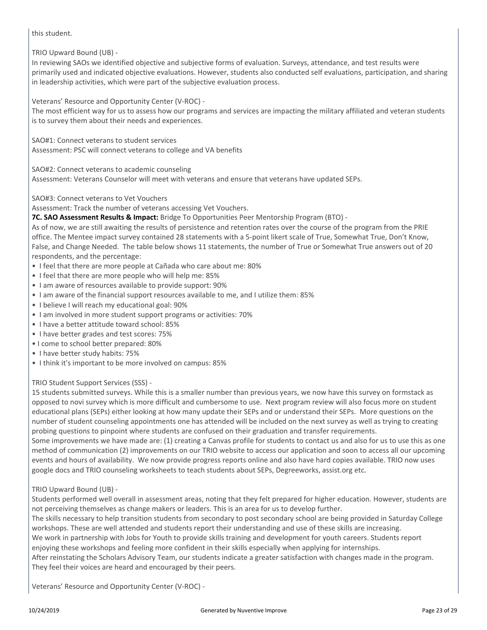this student.

TRIO Upward Bound (UB) -

In reviewing SAOs we identified objective and subjective forms of evaluation. Surveys, attendance, and test results were primarily used and indicated objective evaluations. However, students also conducted self evaluations, participation, and sharing in leadership activities, which were part of the subjective evaluation process.

Veterans' Resource and Opportunity Center (V-ROC) -

The most efficient way for us to assess how our programs and services are impacting the military affiliated and veteran students is to survey them about their needs and experiences.

SAO#1: Connect veterans to student services Assessment: PSC will connect veterans to college and VA benefits

SAO#2: Connect veterans to academic counseling

Assessment: Veterans Counselor will meet with veterans and ensure that veterans have updated SEPs.

SAO#3: Connect veterans to Vet Vouchers

Assessment: Track the number of veterans accessing Vet Vouchers.

**7C. SAO Assessment Results & Impact:** Bridge To Opportunities Peer Mentorship Program (BTO) -

As of now, we are still awaiting the results of persistence and retention rates over the course of the program from the PRIE office. The Mentee impact survey contained 28 statements with a 5-point likert scale of True, Somewhat True, Don't Know, False, and Change Needed. The table below shows 11 statements, the number of True or Somewhat True answers out of 20 respondents, and the percentage:

- I feel that there are more people at Cañada who care about me: 80%
- I feel that there are more people who will help me: 85%
- I am aware of resources available to provide support: 90%
- I am aware of the financial support resources available to me, and I utilize them: 85%
- I believe I will reach my educational goal: 90%
- I am involved in more student support programs or activities: 70%
- I have a better attitude toward school: 85%
- I have better grades and test scores: 75%
- I come to school better prepared: 80%
- I have better study habits: 75%
- I think it's important to be more involved on campus: 85%

#### TRIO Student Support Services (SSS) -

15 students submitted surveys. While this is a smaller number than previous years, we now have this survey on formstack as opposed to novi survey which is more difficult and cumbersome to use. Next program review will also focus more on student educational plans (SEPs) either looking at how many update their SEPs and or understand their SEPs. More questions on the number of student counseling appointments one has attended will be included on the next survey as well as trying to creating probing questions to pinpoint where students are confused on their graduation and transfer requirements.

Some improvements we have made are: (1) creating a Canvas profile for students to contact us and also for us to use this as one method of communication (2) improvements on our TRIO website to access our application and soon to access all our upcoming events and hours of availability. We now provide progress reports online and also have hard copies available. TRIO now uses google docs and TRIO counseling worksheets to teach students about SEPs, Degreeworks, assist.org etc.

#### TRIO Upward Bound (UB) -

Students performed well overall in assessment areas, noting that they felt prepared for higher education. However, students are not perceiving themselves as change makers or leaders. This is an area for us to develop further.

The skills necessary to help transition students from secondary to post secondary school are being provided in Saturday College workshops. These are well attended and students report their understanding and use of these skills are increasing.

We work in partnership with Jobs for Youth to provide skills training and development for youth careers. Students report enjoying these workshops and feeling more confident in their skills especially when applying for internships.

After reinstating the Scholars Advisory Team, our students indicate a greater satisfaction with changes made in the program. They feel their voices are heard and encouraged by their peers.

Veterans' Resource and Opportunity Center (V-ROC) -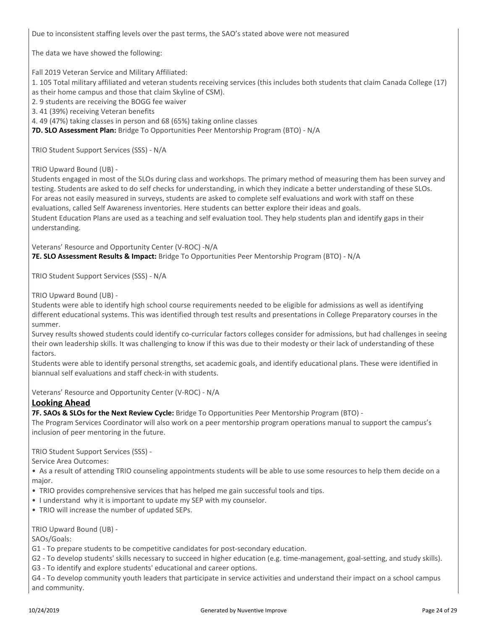Due to inconsistent staffing levels over the past terms, the SAO's stated above were not measured

The data we have showed the following:

Fall 2019 Veteran Service and Military Affiliated:

1. 105 Total military affiliated and veteran students receiving services (this includes both students that claim Canada College (17)

as their home campus and those that claim Skyline of CSM).

2. 9 students are receiving the BOGG fee waiver

3. 41 (39%) receiving Veteran benefits

4. 49 (47%) taking classes in person and 68 (65%) taking online classes

**7D. SLO Assessment Plan:** Bridge To Opportunities Peer Mentorship Program (BTO) - N/A

TRIO Student Support Services (SSS) - N/A

TRIO Upward Bound (UB) -

Students engaged in most of the SLOs during class and workshops. The primary method of measuring them has been survey and testing. Students are asked to do self checks for understanding, in which they indicate a better understanding of these SLOs. For areas not easily measured in surveys, students are asked to complete self evaluations and work with staff on these evaluations, called Self Awareness inventories. Here students can better explore their ideas and goals. Student Education Plans are used as a teaching and self evaluation tool. They help students plan and identify gaps in their understanding.

Veterans' Resource and Opportunity Center (V-ROC) -N/A **7E. SLO Assessment Results & Impact:** Bridge To Opportunities Peer Mentorship Program (BTO) - N/A

TRIO Student Support Services (SSS) - N/A

TRIO Upward Bound (UB) -

Students were able to identify high school course requirements needed to be eligible for admissions as well as identifying different educational systems. This was identified through test results and presentations in College Preparatory courses in the summer.

Survey results showed students could identify co-curricular factors colleges consider for admissions, but had challenges in seeing their own leadership skills. It was challenging to know if this was due to their modesty or their lack of understanding of these factors.

Students were able to identify personal strengths, set academic goals, and identify educational plans. These were identified in biannual self evaluations and staff check-in with students.

Veterans' Resource and Opportunity Center (V-ROC) - N/A

#### **Looking Ahead**

**7F. SAOs & SLOs for the Next Review Cycle:** Bridge To Opportunities Peer Mentorship Program (BTO) -

The Program Services Coordinator will also work on a peer mentorship program operations manual to support the campus's inclusion of peer mentoring in the future.

TRIO Student Support Services (SSS) -

Service Area Outcomes:

• As a result of attending TRIO counseling appointments students will be able to use some resources to help them decide on a major.

- TRIO provides comprehensive services that has helped me gain successful tools and tips.
- I understand why it is important to update my SEP with my counselor.
- TRIO will increase the number of updated SEPs.

TRIO Upward Bound (UB) -

SAOs/Goals:

- G1 To prepare students to be competitive candidates for post-secondary education.
- G2 To develop students' skills necessary to succeed in higher education (e.g. time-management, goal-setting, and study skills).
- G3 To identify and explore students' educational and career options.

G4 - To develop community youth leaders that participate in service activities and understand their impact on a school campus and community.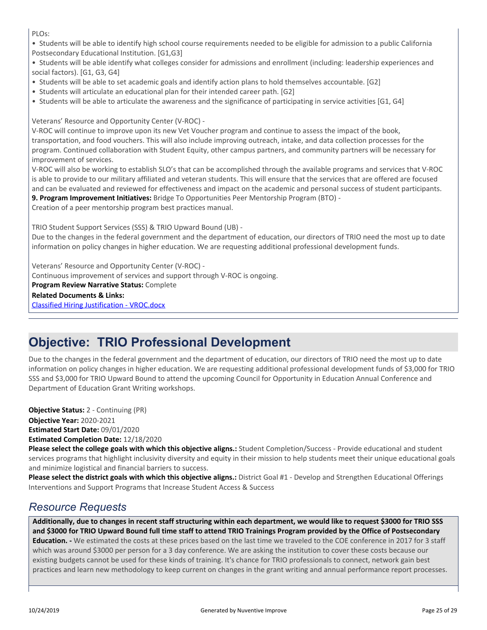PLOs:

• Students will be able to identify high school course requirements needed to be eligible for admission to a public California Postsecondary Educational Institution. [G1,G3]

• Students will be able identify what colleges consider for admissions and enrollment (including: leadership experiences and social factors). [G1, G3, G4]

- Students will be able to set academic goals and identify action plans to hold themselves accountable. [G2]
- Students will articulate an educational plan for their intended career path. [G2]
- Students will be able to articulate the awareness and the significance of participating in service activities [G1, G4]

Veterans' Resource and Opportunity Center (V-ROC) -

V-ROC will continue to improve upon its new Vet Voucher program and continue to assess the impact of the book, transportation, and food vouchers. This will also include improving outreach, intake, and data collection processes for the program. Continued collaboration with Student Equity, other campus partners, and community partners will be necessary for improvement of services.

V-ROC will also be working to establish SLO's that can be accomplished through the available programs and services that V-ROC is able to provide to our military affiliated and veteran students. This will ensure that the services that are offered are focused and can be evaluated and reviewed for effectiveness and impact on the academic and personal success of student participants. **9. Program Improvement Initiatives:** Bridge To Opportunities Peer Mentorship Program (BTO) -

Creation of a peer mentorship program best practices manual.

TRIO Student Support Services (SSS) & TRIO Upward Bound (UB) - Due to the changes in the federal government and the department of education, our directors of TRIO need the most up to date information on policy changes in higher education. We are requesting additional professional development funds.

Veterans' Resource and Opportunity Center (V-ROC) - Continuous improvement of services and support through V-ROC is ongoing. **Program Review Narrative Status:** Complete **Related Documents & Links:** [Classified Hiring Justification - VROC.docx](https://sanmateo.tracdat.com:443/tracdat/viewDocument?y=ZTqr2RLPzCTi)

## **Objective: TRIO Professional Development**

Due to the changes in the federal government and the department of education, our directors of TRIO need the most up to date information on policy changes in higher education. We are requesting additional professional development funds of \$3,000 for TRIO SSS and \$3,000 for TRIO Upward Bound to attend the upcoming Council for Opportunity in Education Annual Conference and Department of Education Grant Writing workshops.

**Objective Year:** 2020-2021 **Estimated Start Date:** 09/01/2020 **Estimated Completion Date:** 12/18/2020 **Objective Status:** 2 - Continuing (PR)

**Please select the college goals with which this objective aligns.:** Student Completion/Success - Provide educational and student services programs that highlight inclusivity diversity and equity in their mission to help students meet their unique educational goals and minimize logistical and financial barriers to success.

**Please select the district goals with which this objective aligns.:** District Goal #1 - Develop and Strengthen Educational Offerings Interventions and Support Programs that Increase Student Access & Success

### *Resource Requests*

**Additionally, due to changes in recent staff structuring within each department, we would like to request \$3000 for TRIO SSS and \$3000 for TRIO Upward Bound full time staff to attend TRIO Trainings Program provided by the Office of Postsecondary**

**Education. -** We estimated the costs at these prices based on the last time we traveled to the COE conference in 2017 for 3 staff which was around \$3000 per person for a 3 day conference. We are asking the institution to cover these costs because our existing budgets cannot be used for these kinds of training. It's chance for TRIO professionals to connect, network gain best practices and learn new methodology to keep current on changes in the grant writing and annual performance report processes.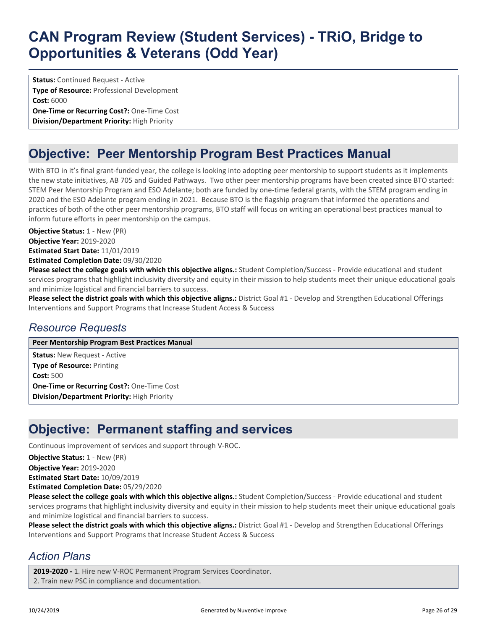**Status: Continued Request - Active Type of Resource:** Professional Development **Cost:** 6000 **One-Time or Recurring Cost?:** One-Time Cost **Division/Department Priority:** High Priority

## **Objective: Peer Mentorship Program Best Practices Manual**

With BTO in it's final grant-funded year, the college is looking into adopting peer mentorship to support students as it implements the new state initiatives, AB 705 and Guided Pathways. Two other peer mentorship programs have been created since BTO started: STEM Peer Mentorship Program and ESO Adelante; both are funded by one-time federal grants, with the STEM program ending in 2020 and the ESO Adelante program ending in 2021. Because BTO is the flagship program that informed the operations and practices of both of the other peer mentorship programs, BTO staff will focus on writing an operational best practices manual to inform future efforts in peer mentorship on the campus.

**Objective Status:** 1 - New (PR)

**Objective Year:** 2019-2020 **Estimated Start Date:** 11/01/2019 **Estimated Completion Date:** 09/30/2020

**Please select the college goals with which this objective aligns.:** Student Completion/Success - Provide educational and student services programs that highlight inclusivity diversity and equity in their mission to help students meet their unique educational goals and minimize logistical and financial barriers to success.

**Please select the district goals with which this objective aligns.:** District Goal #1 - Develop and Strengthen Educational Offerings Interventions and Support Programs that Increase Student Access & Success

### *Resource Requests*

**Peer Mentorship Program Best Practices Manual**

**Status:** New Request - Active **Type of Resource:** Printing **Cost:** 500 **One-Time or Recurring Cost?:** One-Time Cost **Division/Department Priority:** High Priority

## **Objective: Permanent staffing and services**

Continuous improvement of services and support through V-ROC.

**Objective Status: 1 - New (PR)** 

**Objective Year:** 2019-2020

**Estimated Start Date:** 10/09/2019

**Estimated Completion Date:** 05/29/2020

**Please select the college goals with which this objective aligns.:** Student Completion/Success - Provide educational and student services programs that highlight inclusivity diversity and equity in their mission to help students meet their unique educational goals and minimize logistical and financial barriers to success.

**Please select the district goals with which this objective aligns.:** District Goal #1 - Develop and Strengthen Educational Offerings Interventions and Support Programs that Increase Student Access & Success

### *Action Plans*

**2019-2020 -** 1. Hire new V-ROC Permanent Program Services Coordinator. 2. Train new PSC in compliance and documentation.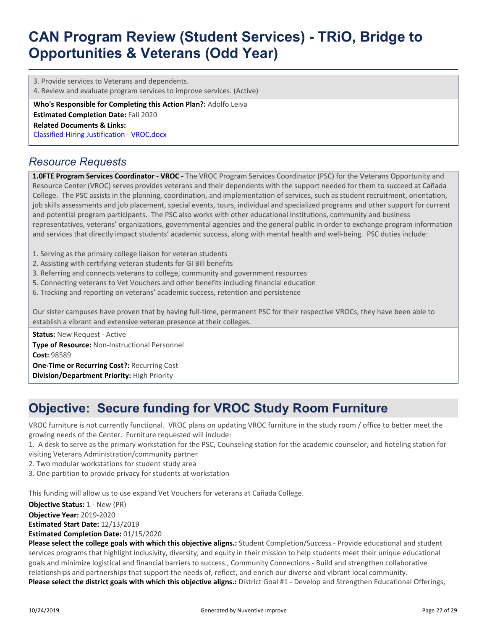3. Provide services to Veterans and dependents.

4. Review and evaluate program services to improve services. (Active)

**Who's Responsible for Completing this Action Plan?:** Adolfo Leiva **Estimated Completion Date:** Fall 2020

**Related Documents & Links:**

[Classified Hiring Justification - VROC.docx](https://sanmateo.tracdat.com:443/tracdat/viewDocument?y=ZTqr2RLPzCTi)

### *Resource Requests*

**1.0FTE Program Services Coordinator - VROC -** The VROC Program Services Coordinator (PSC) for the Veterans Opportunity and Resource Center (VROC) serves provides veterans and their dependents with the support needed for them to succeed at Cañada College. The PSC assists in the planning, coordination, and implementation of services, such as student recruitment, orientation, job skills assessments and job placement, special events, tours, individual and specialized programs and other support for current and potential program participants. The PSC also works with other educational institutions, community and business representatives, veterans' organizations, governmental agencies and the general public in order to exchange program information and services that directly impact students' academic success, along with mental health and well-being. PSC duties include:

- 1. Serving as the primary college liaison for veteran students
- 2. Assisting with certifying veteran students for GI Bill benefits
- 3. Referring and connects veterans to college, community and government resources
- 5. Connecting veterans to Vet Vouchers and other benefits including financial education
- 6. Tracking and reporting on veterans' academic success, retention and persistence

Our sister campuses have proven that by having full-time, permanent PSC for their respective VROCs, they have been able to establish a vibrant and extensive veteran presence at their colleges.

**Status:** New Request - Active **Type of Resource:** Non-Instructional Personnel **Cost:** 98589 **One-Time or Recurring Cost?:** Recurring Cost **Division/Department Priority:** High Priority

## **Objective: Secure funding for VROC Study Room Furniture**

VROC furniture is not currently functional. VROC plans on updating VROC furniture in the study room / office to better meet the growing needs of the Center. Furniture requested will include:

- 1. A desk to serve as the primary workstation for the PSC, Counseling station for the academic counselor, and hoteling station for visiting Veterans Administration/community partner
- 2. Two modular workstations for student study area
- 3. One partition to provide privacy for students at workstation

This funding will allow us to use expand Vet Vouchers for veterans at Cañada College.

**Objective Status:** 1 - New (PR)

**Objective Year:** 2019-2020

**Estimated Start Date:** 12/13/2019

**Estimated Completion Date:** 01/15/2020

**Please select the college goals with which this objective aligns.:** Student Completion/Success - Provide educational and student services programs that highlight inclusivity, diversity, and equity in their mission to help students meet their unique educational goals and minimize logistical and financial barriers to success., Community Connections - Build and strengthen collaborative relationships and partnerships that support the needs of, reflect, and enrich our diverse and vibrant local community. **Please select the district goals with which this objective aligns.:** District Goal #1 - Develop and Strengthen Educational Offerings,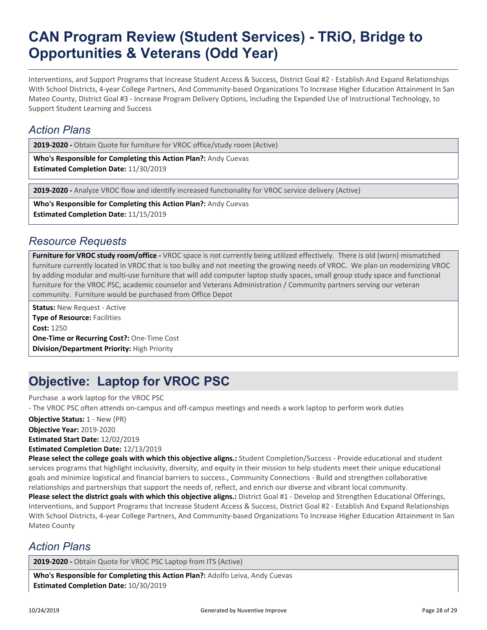Interventions, and Support Programs that Increase Student Access & Success, District Goal #2 - Establish And Expand Relationships With School Districts, 4-year College Partners, And Community-based Organizations To Increase Higher Education Attainment In San Mateo County, District Goal #3 - Increase Program Delivery Options, Including the Expanded Use of Instructional Technology, to Support Student Learning and Success

### *Action Plans*

**2019-2020 -** Obtain Quote for furniture for VROC office/study room (Active)

**Who's Responsible for Completing this Action Plan?:** Andy Cuevas **Estimated Completion Date:** 11/30/2019

**2019-2020 -** Analyze VROC flow and identify increased functionality for VROC service delivery (Active)

**Who's Responsible for Completing this Action Plan?:** Andy Cuevas **Estimated Completion Date:** 11/15/2019

### *Resource Requests*

**Furniture for VROC study room/office -** VROC space is not currently being utilized effectively. There is old (worn) mismatched furniture currently located in VROC that is too bulky and not meeting the growing needs of VROC. We plan on modernizing VROC by adding modular and multi-use furniture that will add computer laptop study spaces, small group study space and functional furniture for the VROC PSC, academic counselor and Veterans Administration / Community partners serving our veteran community. Furniture would be purchased from Office Depot

**Status:** New Request - Active **Type of Resource: Facilities Cost:** 1250 **One-Time or Recurring Cost?:** One-Time Cost **Division/Department Priority:** High Priority

## **Objective: Laptop for VROC PSC**

Purchase a work laptop for the VROC PSC

- The VROC PSC often attends on-campus and off-campus meetings and needs a work laptop to perform work duties

**Objective Status:** 1 - New (PR)

**Objective Year:** 2019-2020

**Estimated Start Date:** 12/02/2019

**Estimated Completion Date:** 12/13/2019

**Please select the college goals with which this objective aligns.:** Student Completion/Success - Provide educational and student services programs that highlight inclusivity, diversity, and equity in their mission to help students meet their unique educational goals and minimize logistical and financial barriers to success., Community Connections - Build and strengthen collaborative relationships and partnerships that support the needs of, reflect, and enrich our diverse and vibrant local community.

**Please select the district goals with which this objective aligns.:** District Goal #1 - Develop and Strengthen Educational Offerings, Interventions, and Support Programs that Increase Student Access & Success, District Goal #2 - Establish And Expand Relationships With School Districts, 4-year College Partners, And Community-based Organizations To Increase Higher Education Attainment In San Mateo County

### *Action Plans*

2019-2020 - Obtain Quote for VROC PSC Laptop from ITS (Active)

**Who's Responsible for Completing this Action Plan?:** Adolfo Leiva, Andy Cuevas **Estimated Completion Date:** 10/30/2019